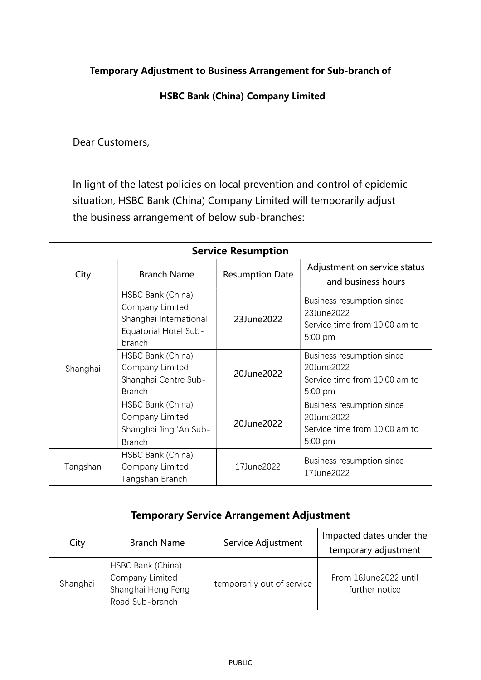## Temporary Adjustment to Business Arrangement for Sub-branch of

## HSBC Bank (China) Company Limited

Dear Customers,

In light of the latest policies on local prevention and control of epidemic situation, HSBC Bank (China) Company Limited will temporarily adjust the business arrangement of below sub-branches:

| <b>Service Resumption</b> |                                                                                                          |                        |                                                                                       |  |  |  |
|---------------------------|----------------------------------------------------------------------------------------------------------|------------------------|---------------------------------------------------------------------------------------|--|--|--|
| City                      | <b>Branch Name</b>                                                                                       | <b>Resumption Date</b> | Adjustment on service status<br>and business hours                                    |  |  |  |
| Shanghai                  | HSBC Bank (China)<br>Company Limited<br>Shanghai International<br><b>Equatorial Hotel Sub-</b><br>branch | 23June2022             | Business resumption since<br>23June2022<br>Service time from 10:00 am to<br>5:00 pm   |  |  |  |
|                           | HSBC Bank (China)<br>Company Limited<br>Shanghai Centre Sub-<br><b>Branch</b>                            | 20June2022             | Business resumption since<br>20June2022<br>Service time from 10:00 am to<br>5:00 pm   |  |  |  |
|                           | HSBC Bank (China)<br>Company Limited<br>Shanghai Jing 'An Sub-<br><b>Branch</b>                          | 20June2022             | Business resumption since<br>20June2022<br>Service time from 10:00 am to<br>$5:00$ pm |  |  |  |
| Tangshan                  | HSBC Bank (China)<br>Company Limited<br>Tangshan Branch                                                  | 17June2022             | Business resumption since<br>17June2022                                               |  |  |  |

| <b>Temporary Service Arrangement Adjustment</b> |                                                                               |                            |                                         |  |  |  |
|-------------------------------------------------|-------------------------------------------------------------------------------|----------------------------|-----------------------------------------|--|--|--|
| City                                            | <b>Branch Name</b>                                                            | Service Adjustment         | Impacted dates under the                |  |  |  |
|                                                 |                                                                               |                            | temporary adjustment                    |  |  |  |
| Shanghai                                        | HSBC Bank (China)<br>Company Limited<br>Shanghai Heng Feng<br>Road Sub-branch | temporarily out of service | From 16June2022 until<br>further notice |  |  |  |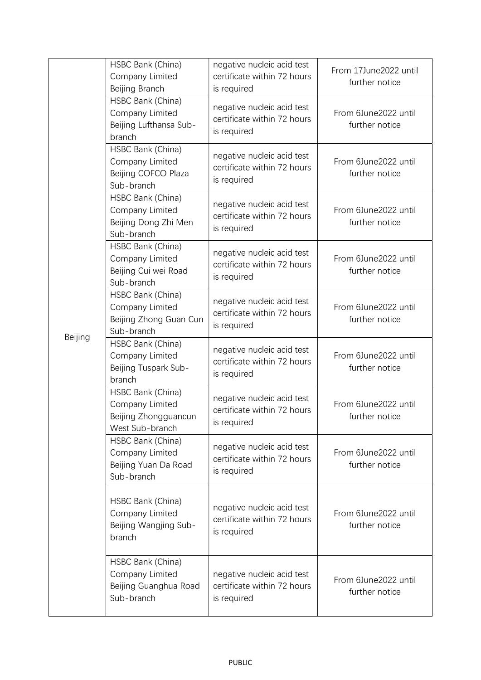| Beijing | HSBC Bank (China)<br>Company Limited<br>Beijing Branch                          | negative nucleic acid test<br>certificate within 72 hours<br>is required | From 17June2022 until<br>further notice |
|---------|---------------------------------------------------------------------------------|--------------------------------------------------------------------------|-----------------------------------------|
|         | HSBC Bank (China)<br>Company Limited<br>Beijing Lufthansa Sub-<br>branch        | negative nucleic acid test<br>certificate within 72 hours<br>is required | From 6June2022 until<br>further notice  |
|         | HSBC Bank (China)<br>Company Limited<br>Beijing COFCO Plaza<br>Sub-branch       | negative nucleic acid test<br>certificate within 72 hours<br>is required | From 6June2022 until<br>further notice  |
|         | HSBC Bank (China)<br>Company Limited<br>Beijing Dong Zhi Men<br>Sub-branch      | negative nucleic acid test<br>certificate within 72 hours<br>is required | From 6June2022 until<br>further notice  |
|         | HSBC Bank (China)<br>Company Limited<br>Beijing Cui wei Road<br>Sub-branch      | negative nucleic acid test<br>certificate within 72 hours<br>is required | From 6June2022 until<br>further notice  |
|         | HSBC Bank (China)<br>Company Limited<br>Beijing Zhong Guan Cun<br>Sub-branch    | negative nucleic acid test<br>certificate within 72 hours<br>is required | From 6June2022 until<br>further notice  |
|         | HSBC Bank (China)<br>Company Limited<br>Beijing Tuspark Sub-<br>branch          | negative nucleic acid test<br>certificate within 72 hours<br>is required | From 6June2022 until<br>further notice  |
|         | HSBC Bank (China)<br>Company Limited<br>Beijing Zhongguancun<br>West Sub-branch | negative nucleic acid test<br>certificate within 72 hours<br>is required | From 6June2022 until<br>further notice  |
|         | HSBC Bank (China)<br>Company Limited<br>Beijing Yuan Da Road<br>Sub-branch      | negative nucleic acid test<br>certificate within 72 hours<br>is required | From 6June2022 until<br>further notice  |
|         | HSBC Bank (China)<br>Company Limited<br>Beijing Wangjing Sub-<br>branch         | negative nucleic acid test<br>certificate within 72 hours<br>is required | From 6June2022 until<br>further notice  |
|         | HSBC Bank (China)<br>Company Limited<br>Beijing Guanghua Road<br>Sub-branch     | negative nucleic acid test<br>certificate within 72 hours<br>is required | From 6June2022 until<br>further notice  |